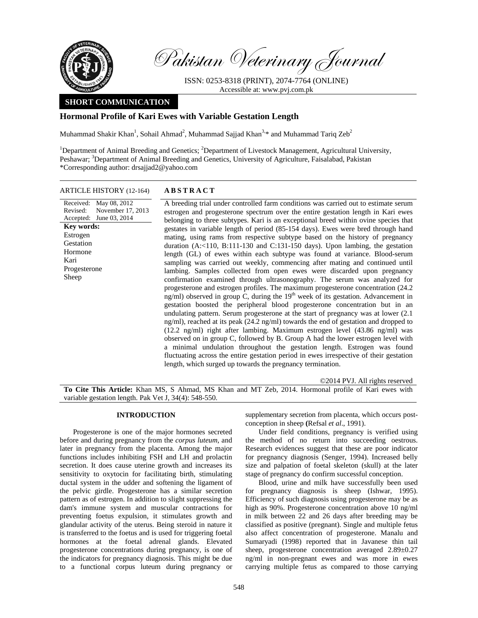

Pakistan Veterinary Journal

ISSN: 0253-8318 (PRINT), 2074-7764 (ONLINE) Accessible at: www.pvj.com.pk

# **SHORT COMMUNICATION**

# **Hormonal Profile of Kari Ewes with Variable Gestation Length**

Muhammad Shakir Khan<sup>1</sup>, Sohail Ahmad<sup>2</sup>, Muhammad Sajjad Khan<sup>3,\*</sup> and Muhammad Tariq Zeb<sup>2</sup>

<sup>1</sup>Department of Animal Breeding and Genetics; <sup>2</sup>Department of Livestock Management, Agricultural University, Peshawar; <sup>3</sup>Department of Animal Breeding and Genetics, University of Agriculture, Faisalabad, Pakistan \*Corresponding author: drsajjad2@yahoo.com

### ARTICLE HISTORY (12-164) **ABSTRACT**

Received: May 08, 2012 Revised: Accepted: June 03, 2014 November 17, 2013 **Key words:**  Estrogen Gestation Hormone Kari Progesterone Sheep

 A breeding trial under controlled farm conditions was carried out to estimate serum estrogen and progesterone spectrum over the entire gestation length in Kari ewes belonging to three subtypes. Kari is an exceptional breed within ovine species that gestates in variable length of period (85-154 days). Ewes were bred through hand mating, using rams from respective subtype based on the history of pregnancy duration (A:<110, B:111-130 and C:131-150 days). Upon lambing, the gestation length (GL) of ewes within each subtype was found at variance. Blood-serum sampling was carried out weekly, commencing after mating and continued until lambing. Samples collected from open ewes were discarded upon pregnancy confirmation examined through ultrasonography. The serum was analyzed for progesterone and estrogen profiles. The maximum progesterone concentration (24.2 ng/ml) observed in group  $\tilde{C}$ , during the  $19<sup>th</sup>$  week of its gestation. Advancement in gestation boosted the peripheral blood progesterone concentration but in an undulating pattern. Serum progesterone at the start of pregnancy was at lower (2.1 ng/ml), reached at its peak (24.2 ng/ml) towards the end of gestation and dropped to (12.2 ng/ml) right after lambing. Maximum estrogen level (43.86 ng/ml) was observed on in group C, followed by B. Group A had the lower estrogen level with a minimal undulation throughout the gestation length. Estrogen was found fluctuating across the entire gestation period in ewes irrespective of their gestation length, which surged up towards the pregnancy termination.

**To Cite This Article:** Khan MS, S Ahmad, MS Khan and MT Zeb, 2014. Hormonal profile of Kari ewes with variable gestation length. Pak Vet J, 34(4): 548-550.

#### **INTRODUCTION**

Progesterone is one of the major hormones secreted before and during pregnancy from the *corpus luteum*, and later in pregnancy from the placenta. Among the major functions includes inhibiting FSH and LH and prolactin secretion. It does cause uterine growth and increases its sensitivity to oxytocin for facilitating birth, stimulating ductal system in the udder and softening the ligament of the pelvic girdle. Progesterone has a similar secretion pattern as of estrogen. In addition to slight suppressing the dam's immune system and muscular contractions for preventing foetus expulsion, it stimulates growth and glandular activity of the uterus. Being steroid in nature it is transferred to the foetus and is used for triggering foetal hormones at the foetal adrenal glands. Elevated progesterone concentrations during pregnancy, is one of the indicators for pregnancy diagnosis. This might be due to a functional corpus luteum during pregnancy or

supplementary secretion from placenta, which occurs postconception in sheep **(**Refsal *et al*., 1991).

©2014 PVJ. All rights reserved

Under field conditions, pregnancy is verified using the method of no return into succeeding oestrous. Research evidences suggest that these are poor indicator for pregnancy diagnosis (Senger, 1994). Increased belly size and palpation of foetal skeleton (skull) at the later stage of pregnancy do confirm successful conception.

Blood, urine and milk have successfully been used for pregnancy diagnosis is sheep (Ishwar, 1995). Efficiency of such diagnosis using progesterone may be as high as 90%. Progesterone concentration above 10 ng/ml in milk between 22 and 26 days after breeding may be classified as positive (pregnant). Single and multiple fetus also affect concentration of progesterone. Manalu and Sumaryadi (1998) reported that in Javanese thin tail sheep, progesterone concentration averaged  $2.89 \pm 0.27$ ng/ml in non-pregnant ewes and was more in ewes carrying multiple fetus as compared to those carrying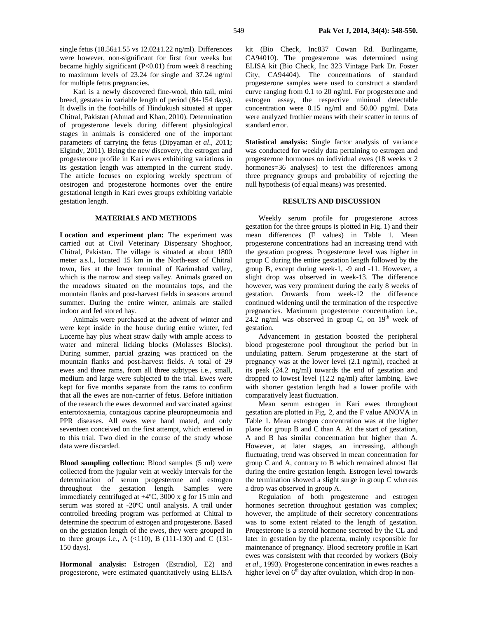for multiple fetus pregnancies. Kari is a newly discovered fine-wool, thin tail, mini breed, gestates in variable length of period (84-154 days). It dwells in the foot-hills of Hindukush situated at upper Chitral, Pakistan (Ahmad and Khan, 2010). Determination of progesterone levels during different physiological stages in animals is considered one of the important parameters of carrying the fetus (Dipyaman *et al*., 2011; Elgindy, 2011). Being the new discovery, the estrogen and progesterone profile in Kari ewes exhibiting variations in its gestation length was attempted in the current study. The article focuses on exploring weekly spectrum of oestrogen and progesterone hormones over the entire gestational length in Kari ewes groups exhibiting variable gestation length.

## **MATERIALS AND METHODS**

**Location and experiment plan:** The experiment was carried out at Civil Veterinary Dispensary Shoghoor, Chitral, Pakistan. The village is situated at about 1800 meter a.s.l., located 15 km in the North-east of Chitral town, lies at the lower terminal of Karimabad valley, which is the narrow and steep valley. Animals grazed on the meadows situated on the mountains tops, and the mountain flanks and post-harvest fields in seasons around summer. During the entire winter, animals are stalled indoor and fed stored hay.

Animals were purchased at the advent of winter and were kept inside in the house during entire winter, fed Lucerne hay plus wheat straw daily with ample access to water and mineral licking blocks (Molasses Blocks). During summer, partial grazing was practiced on the mountain flanks and post-harvest fields. A total of 29 ewes and three rams, from all three subtypes i.e., small, medium and large were subjected to the trial. Ewes were kept for five months separate from the rams to confirm that all the ewes are non-carrier of fetus. Before initiation of the research the ewes dewormed and vaccinated against enterotoxaemia, contagious caprine pleuropneumonia and PPR diseases. All ewes were hand mated, and only seventeen conceived on the first attempt, which entered in to this trial. Two died in the course of the study whose data were discarded.

**Blood sampling collection:** Blood samples (5 ml) were collected from the jugular vein at weekly intervals for the determination of serum progesterone and estrogen throughout the gestation length. Samples were immediately centrifuged at +4ºC, 3000 x g for 15 min and serum was stored at -20ºC until analysis. A trail under controlled breeding program was performed at Chitral to determine the spectrum of estrogen and progesterone. Based on the gestation length of the ewes, they were grouped in to three groups i.e., A  $(\langle 110 \rangle, B (111-130)$  and C  $(131-$ 150 days).

**Hormonal analysis:** Estrogen (Estradiol, E2) and progesterone, were estimated quantitatively using ELISA

kit (Bio Check, Inc837 Cowan Rd. Burlingame, CA94010). The progesterone was determined using ELISA kit (Bio Check, Inc 323 Vintage Park Dr. Foster City, CA94404). The concentrations of standard progesterone samples were used to construct a standard curve ranging from 0.1 to 20 ng/ml. For progesterone and estrogen assay, the respective minimal detectable concentration were 0.15 ng/ml and 50.00 pg/ml. Data were analyzed frothier means with their scatter in terms of standard error.

**Statistical analysis:** Single factor analysis of variance was conducted for weekly data pertaining to estrogen and progesterone hormones on individual ewes (18 weeks x 2 hormones=36 analyses) to test the differences among three pregnancy groups and probability of rejecting the null hypothesis (of equal means) was presented.

### **RESULTS AND DISCUSSION**

Weekly serum profile for progesterone across gestation for the three groups is plotted in Fig. 1) and their mean differences (F values) in Table 1. Mean progesterone concentrations had an increasing trend with the gestation progress. Progesterone level was higher in group C during the entire gestation length followed by the group B, except during week-1, -9 and -11. However, a slight drop was observed in week-13. The difference however, was very prominent during the early 8 weeks of gestation. Onwards from week-12 the difference continued widening until the termination of the respective pregnancies. Maximum progesterone concentration i.e., 24.2 ng/ml was observed in group C, on  $19<sup>th</sup>$  week of gestation.

Advancement in gestation boosted the peripheral blood progesterone pool throughout the period but in undulating pattern. Serum progesterone at the start of pregnancy was at the lower level (2.1 ng/ml), reached at its peak (24.2 ng/ml) towards the end of gestation and dropped to lowest level (12.2 ng/ml) after lambing. Ewe with shorter gestation length had a lower profile with comparatively least fluctuation.

Mean serum estrogen in Kari ewes throughout gestation are plotted in Fig. 2, and the F value ANOVA in Table 1. Mean estrogen concentration was at the higher plane for group B and C than A. At the start of gestation, A and B has similar concentration but higher than A. However, at later stages, an increasing, although fluctuating, trend was observed in mean concentration for group C and A, contrary to B which remained almost flat during the entire gestation length. Estrogen level towards the termination showed a slight surge in group C whereas a drop was observed in group A.

Regulation of both progesterone and estrogen hormones secretion throughout gestation was complex; however, the amplitude of their secretory concentrations was to some extent related to the length of gestation. Progesterone is a steroid hormone secreted by the CL and later in gestation by the placenta, mainly responsible for maintenance of pregnancy. Blood secretory profile in Kari ewes was consistent with that recorded by workers **(**Boly *et al*., 1993). Progesterone concentration in ewes reaches a higher level on  $6<sup>th</sup>$  day after ovulation, which drop in non-